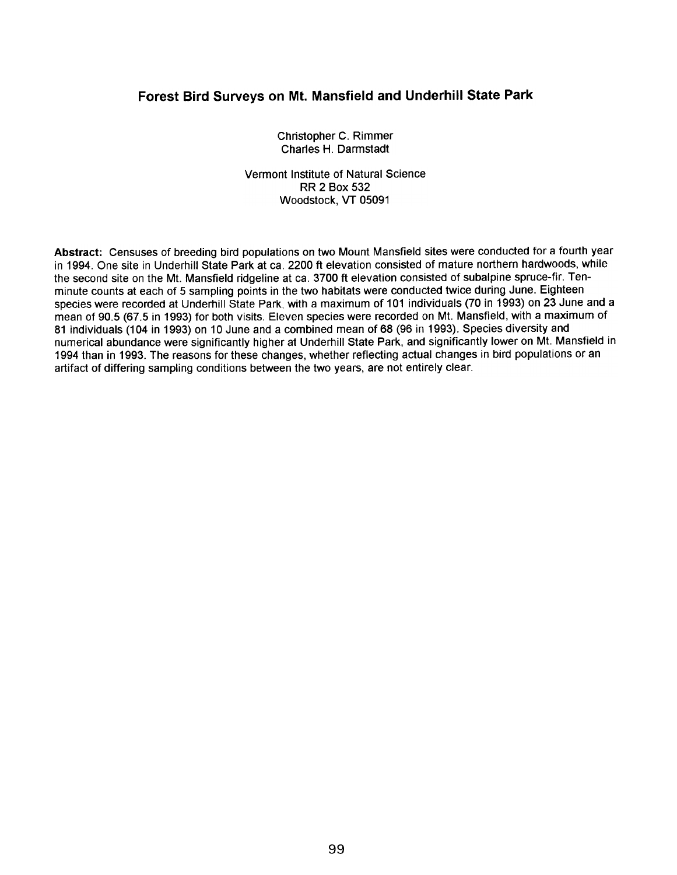## Forest Bird Surveys on Mt. Mansfield and Underhill State Park

Christopher C. Rimmer Charles H. Darmstadt

Vermont Institute of Natural Science **RR 2 Box 532** Woodstock, VT 05091

Abstract: Censuses of breeding bird populations on two Mount Mansfield sites were conducted for a fourth year in 1994. One site in Underhill State Park at ca. 2200 ft elevation consisted of mature northern hardwoods, while the second site on the Mt. Mansfield ridgeline at ca. 3700 ft elevation consisted of subalpine spruce-fir. Tenminute counts at each of 5 sampling points in the two habitats were conducted twice during June. Eighteen species were recorded at Underhill State Park, with a maximum of 101 individuals (70 in 1993) on 23 June and a mean of 90.5 (67.5 in 1993) for both visits. Eleven species were recorded on Mt. Mansfield, with a maximum of 81 individuals (104 in 1993) on 10 June and a combined mean of 68 (96 in 1993). Species diversity and numerical abundance were significantly higher at Underhill State Park, and significantly lower on Mt. Mansfield in 1994 than in 1993. The reasons for these changes, whether reflecting actual changes in bird populations or an artifact of differing sampling conditions between the two years, are not entirely clear.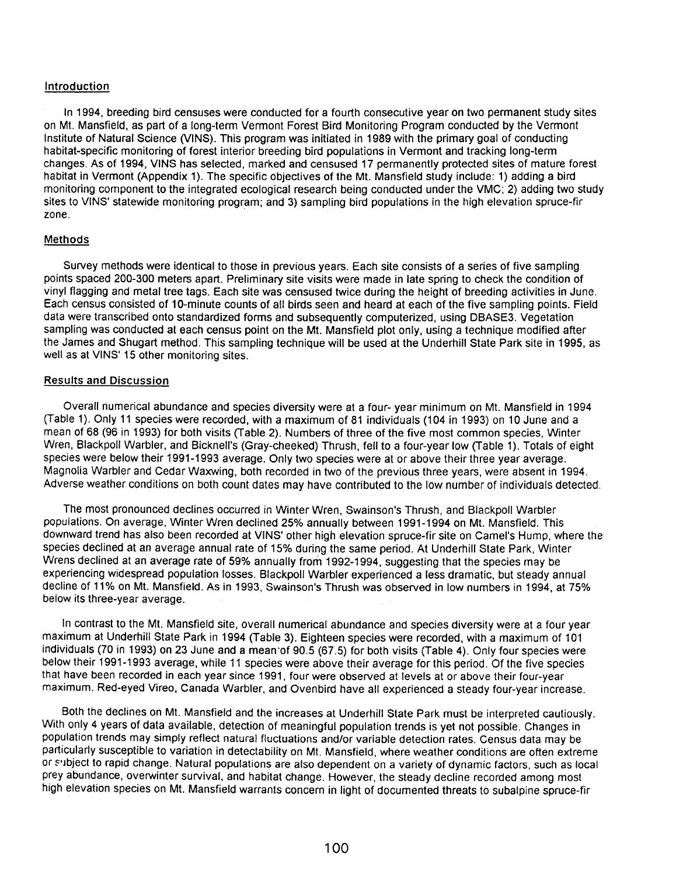## Introduction

In 1994, breeding bird censuses were conducted for a fourth consecutive year on two permanent study sites on Mt. Mansfield, as part of a long-term Vermont Forest Bird Monitoring Program conducted by the Vermont Institute of Natural Science (VINS). This program was initiated in 1989 with the primary goal of conducting habitat-specific monitoring of forest interior breeding bird populations in Vermont and tracking long-term changes. As of 1994, VINS has selected, marked and censused 17 permanently protected sites of mature forest habitat in Vermont (Appendix 1). The specific objectives of the Mt. Mansfield study include: 1) adding a bird monitoring component to the integrated ecological research being conducted under the VMC; 2) adding two study sites to VINS' statewide monitoring program; and 3) sampling bird populations in the high elevation spruce-fir zone.

## Methods

Survey methods were identical to those in previous years. Each site consists of a series of five sampling points spaced 200-300 meters apart. Preliminary site visits were made in late spring to check the condition of vinyl flagging and metal tree tags. Each site was censused twice during the height of breeding activities in June. Each census consisted of 1 O-minute counts of all birds seen and heard at each of the five sampling points. Field data were transcribed onto standardized forms and subsequently computerized, using DBASE3. Vegetation sampling was conducted at each census point on the Mt. Mansfield plot only, using a technique modified after the James and Shugart method. This sampling technique will be used at the Underhill State Park site in 1995, as well as at VINS' 15 other monitoring sites.

## Results and Discussion

Overall numerical abundance and species diversity were at a four- year minimum on Mt. Mansfield in 1994 (Table 1). Only 11 species were recorded, with a maximum of 81 individuals (104 in 1993) on 10 June and a mean of 68 (96 in 1993) for both visits (Table 2). Numbers of three of the five most common species, Winter Wren, Blackpoll Warbler, and Bicknell's (Gray-cheeked) Thrush, fell to a four-year low (Table 1). Totals of eight species were below their 1991-1993 average. Only two species were at or above their three year average. Magnolia Warbler and Cedar Waxwing, both recorded in two of the previous three years, were absent in 1994. Adverse weather conditions on both count dates may have contributed to the low number of individuals detected.

The most pronounced declines occurred in Winter Wren, Swainson's Thrush, and Blackpoll Warbler populations. On average, Winter Wren declined 25% annually between 1991-1994 on Mt. Mansfield. This downward trend has also been recorded at VINS' other high elevation spruce-fir site on Camel's Hump, where the species declined at an average annual rate of 15% during the same period. At Underhill State Park, Winter Wrens declined at an average rate of 59% annually from 1992-1994, suggesting that the species may be experiencing widespread population losses. Blackpoll Warbler experienced a less dramatic, but steady annual decline of 11% on Mt. Mansfield. As in 1993, Swainson's Thrush was observed in low numbers in 1994, at 75% below its three-year average.

In contrast to the Mt. Mansfield site, overall numerical abundance and species diversity were at a four year maximum at Underhill State Park in 1994 (Table 3). Eighteen species were recorded, with a maximum of 101 individuals (70 in 1993) on 23 June and a mean'of 90.5 (67.5) for both visits (Table 4). Only four species were below their 1991-1993 average, while 11 species were above their average for this period. Of the five species that have been recorded in each year since 1991, four were observed at levels at or above their four-year maximum. Red-eyed Vireo, Canada Warbler, and Ovenbird have all experienced a steady four-year increase.

Both the declines on Mt. Mansfield and the increases at Underhill State Park must be interpreted cautiously. With only 4 years of data available, detection of meaningful population trends is yet not possible. Changes in population trends may simply reflect natural fluctuations and/or variable detection rates. Census data may be particularly susceptible to variation in detectability on Mt. Mansfield, where weather conditions are often extreme or subject to rapid change. Natural populations are also dependent on a variety of dynamic factors, such as local prey abundance, overwinter survival, and habitat change. However, the steady decline recorded among most high elevation species on Mt. Mansfield warrants concern in light of documented threats to subalpine spruce-fir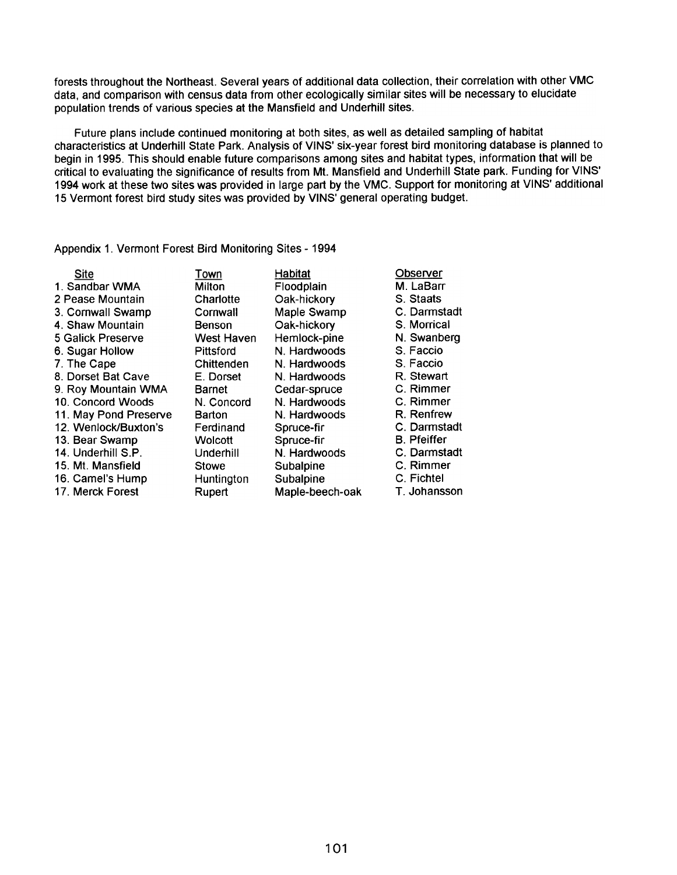forests throughout the Northeast. Several years of additional data collection, their correlation with other VMC data, and comparison with census data from other ecologically similar sites will be necessary to elucidate population trends of various species at the Mansfield and Underhill sites.

Future plans include continued monitoring at both sites, as well as detailed sampling of habitat characteristics at Underhill State Park. Analysis of VINS' six-year forest bird monitoring database is planned to begin in 1995. This should enable future comparisons among sites and habitat types, information that will be critical to evaluating the significance of results from Mt. Mansfield and Underhill State park. Funding for VINS' 1994 work at these two sites was provided in large part by the VMC. Support for monitoring at VINS' additional 15 Vermont forest bird study sites was provided by VINS' general operating budget.

Appendix 1. Vermont Forest Bird Monitoring Sites -1994

| Site                  | Town       |
|-----------------------|------------|
| 1. Sandbar WMA        | Milton     |
| 2 Pease Mountain      | Charlotte  |
| 3. Cornwall Swamp     | Cornwall   |
| 4. Shaw Mountain      | Benson     |
| 5 Galick Preserve     | West Haven |
| 6. Sugar Hollow       | Pittsford  |
| 7. The Cape           | Chittenden |
| 8. Dorset Bat Cave    | E. Dorset  |
| 9. Roy Mountain WMA   | Barnet     |
| 10. Concord Woods     | N. Concord |
| 11. May Pond Preserve | Barton     |
| 12. Wenlock/Buxton's  | Ferdinand  |
| 13. Bear Swamp        | Wolcott    |
| 14. Underhill S.P.    | Underhill  |
| 15. Mt. Mansfield     | Stowe      |
| 16. Camel's Hump      | Huntington |
| 17. Merck Forest      | Rupert     |
|                       |            |

Habitat Floodplain Oak-hickory Maple Swamp Oak-hickory Hemlock-pine N. Hardwoods N. Hardwoods N. Hardwoods Cedar-spruce N. Hardwoods N. Hardwoods Spruce-fir Spruce-fir N. Hardwoods **Subalpine** Subalpine Maple-beech-oak **Observer** M. LaBarr S. Staats C. Darmstadt S. Morrical N. Swanberg S. Faccio S. Faccio R. Stewart C. Rimmer C. Rimmer R. Renfrew C. Darmstadt B. Pfeiffer C. Darmstadt c. Rimmer C. Fichtel

T.Johansson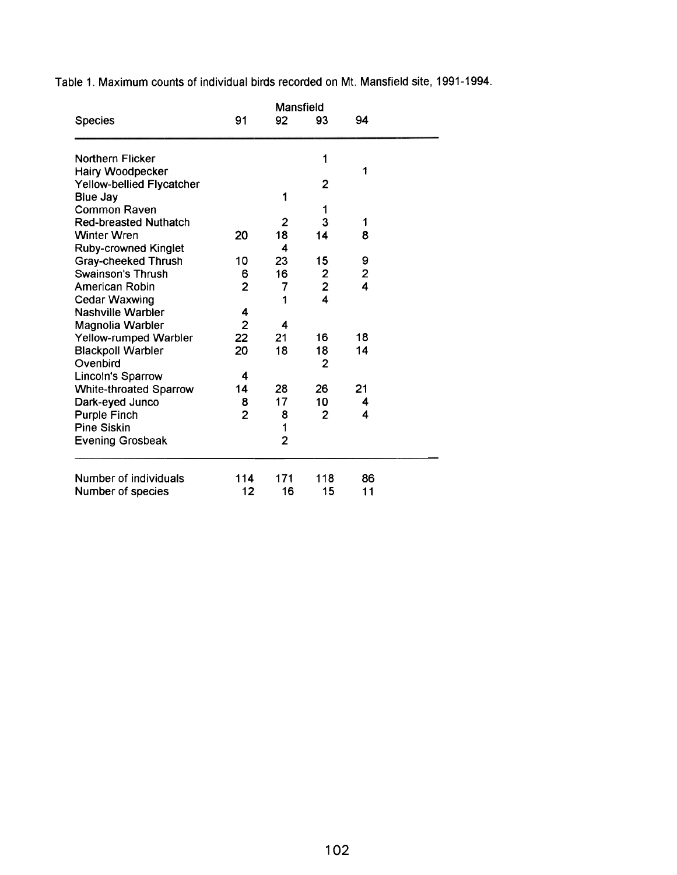Table 1. Maximum counts of individual birds recorded on Mt. Mansfield site, 1991-1994.

|                                  | Mansfield      |                |                         |                         |  |  |  |
|----------------------------------|----------------|----------------|-------------------------|-------------------------|--|--|--|
| <b>Species</b>                   | 91             | 92             | 93                      | 94                      |  |  |  |
| Northern Flicker                 |                |                | 1                       |                         |  |  |  |
| Hairy Woodpecker                 |                |                |                         | 1                       |  |  |  |
| <b>Yellow-bellied Flycatcher</b> |                |                | 2                       |                         |  |  |  |
| <b>Blue Jay</b>                  |                | 1              |                         |                         |  |  |  |
| <b>Common Raven</b>              |                |                | 1                       |                         |  |  |  |
| <b>Red-breasted Nuthatch</b>     |                | 2              | 3                       | 1                       |  |  |  |
| <b>Winter Wren</b>               | 20             | 18             | 14                      | 8                       |  |  |  |
| <b>Ruby-crowned Kinglet</b>      |                | 4              |                         |                         |  |  |  |
| <b>Gray-cheeked Thrush</b>       | 10             | 23             | 15                      | 9                       |  |  |  |
| Swainson's Thrush                | 6              | 16             |                         | $\overline{\mathbf{c}}$ |  |  |  |
| American Robin                   | $\overline{2}$ | 7              | $\frac{2}{2}$           | 4                       |  |  |  |
| <b>Cedar Waxwing</b>             |                | 1              | $\overline{\mathbf{4}}$ |                         |  |  |  |
| <b>Nashville Warbler</b>         | 4              |                |                         |                         |  |  |  |
| Magnolia Warbler                 | $\overline{2}$ | 4              |                         |                         |  |  |  |
| Yellow-rumped Warbler            | 22             | 21             | 16                      | 18                      |  |  |  |
| <b>Blackpoll Warbler</b>         | 20             | 18             | 18                      | 14                      |  |  |  |
| Ovenbird                         |                |                | 2                       |                         |  |  |  |
| Lincoln's Sparrow                | 4              |                |                         |                         |  |  |  |
| <b>White-throated Sparrow</b>    | 14             | 28             | 26                      | 21                      |  |  |  |
| Dark-eyed Junco                  | 8              | 17             | 10                      | 4                       |  |  |  |
| <b>Purple Finch</b>              | $\overline{2}$ | 8              | $\overline{2}$          | 4                       |  |  |  |
| <b>Pine Siskin</b>               |                | 1              |                         |                         |  |  |  |
| <b>Evening Grosbeak</b>          |                | $\overline{2}$ |                         |                         |  |  |  |
| Number of individuals            | 114            | 171            | 118                     | 86                      |  |  |  |
| Number of species                | 12             | 16             | 15                      | 11                      |  |  |  |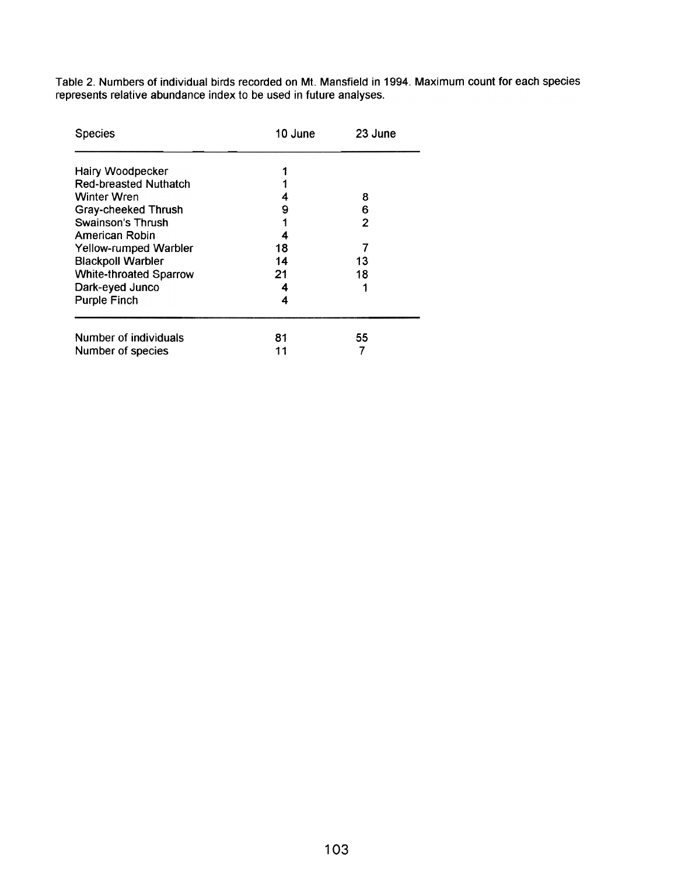Table 2. Numbers of individual birds recorded on Mt. Mansfield in 1994. Maximum count for each species represents relative abundance index to be used in future analyses.

| <b>Species</b>                | 10 June | 23 June |
|-------------------------------|---------|---------|
|                               |         |         |
| Hairy Woodpecker              |         |         |
| <b>Red-breasted Nuthatch</b>  |         |         |
| <b>Winter Wren</b>            | 4       | 8       |
| <b>Gray-cheeked Thrush</b>    | 9       | 6       |
| Swainson's Thrush             |         | 2       |
| American Robin                | 4       |         |
| Yellow-rumped Warbler         | 18      |         |
| <b>Blackpoll Warbler</b>      | 14      | 13      |
| <b>White-throated Sparrow</b> | 21      | 18      |
| Dark-eyed Junco               | 4       | 1       |
| <b>Purple Finch</b>           | 4       |         |
| Number of individuals         | 81      | 55      |
| Number of species             | 11      |         |
|                               |         |         |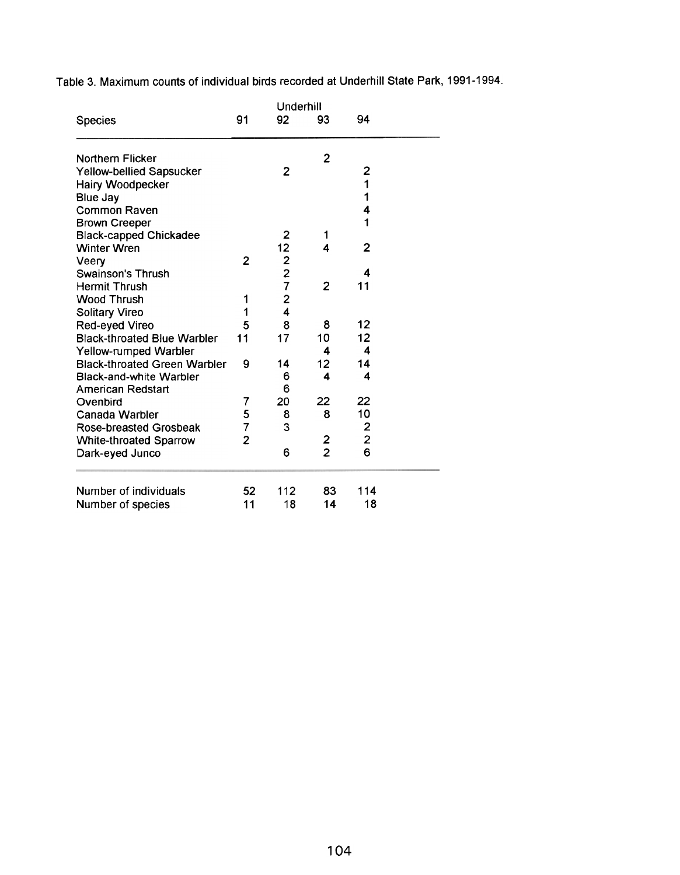Table 3. Maximum counts of individual birds recorded at Underhill State Park, 1991-1994.

|                                     | Underhill      |                                            |                |                |  |
|-------------------------------------|----------------|--------------------------------------------|----------------|----------------|--|
| <b>Species</b>                      | 91             | 92                                         | 93             | 94             |  |
| <b>Northern Flicker</b>             |                |                                            | $\overline{2}$ |                |  |
| <b>Yellow-bellied Sapsucker</b>     |                | 2                                          |                | 2              |  |
| <b>Hairy Woodpecker</b>             |                |                                            |                | 1              |  |
| <b>Blue Jay</b>                     |                |                                            |                | 1              |  |
| <b>Common Raven</b>                 |                |                                            |                | 4              |  |
| <b>Brown Creeper</b>                |                |                                            |                | 1              |  |
| <b>Black-capped Chickadee</b>       |                | $\overline{2}$                             | 1              |                |  |
| <b>Winter Wren</b>                  |                | 12                                         | 4              | $\overline{2}$ |  |
| Veery                               | $\overline{2}$ |                                            |                |                |  |
| <b>Swainson's Thrush</b>            |                | $\begin{array}{c} 2 \\ 2 \\ 7 \end{array}$ |                | 4              |  |
| <b>Hermit Thrush</b>                |                |                                            | $\overline{2}$ | 11             |  |
| <b>Wood Thrush</b>                  | 1              | $\overline{2}$                             |                |                |  |
| <b>Solitary Vireo</b>               | 1              | 4                                          |                |                |  |
| Red-eyed Vireo                      | 5              | 8                                          | 8              | 12             |  |
| <b>Black-throated Blue Warbler</b>  | 11             | 17                                         | 10             | 12             |  |
| Yellow-rumped Warbler               |                |                                            | 4              | 4              |  |
| <b>Black-throated Green Warbler</b> | 9              | 14                                         | 12             | 14             |  |
| <b>Black-and-white Warbler</b>      |                | 6                                          | 4              | 4              |  |
| American Redstart                   |                | 6                                          |                |                |  |
| Ovenbird                            | 7              | 20                                         | 22             | 22             |  |
| Canada Warbler                      | 5              | 8                                          | 8              | 10             |  |
| <b>Rose-breasted Grosbeak</b>       | 7              | 3                                          |                | $\frac{2}{2}$  |  |
| <b>White-throated Sparrow</b>       | $\overline{c}$ |                                            | $\overline{c}$ |                |  |
| Dark-eyed Junco                     |                | 6                                          | $\overline{2}$ | 6              |  |
| Number of individuals               | 52             | 112                                        | 83             | 114            |  |
| Number of species                   | 11             | 18                                         | 14             | 18             |  |